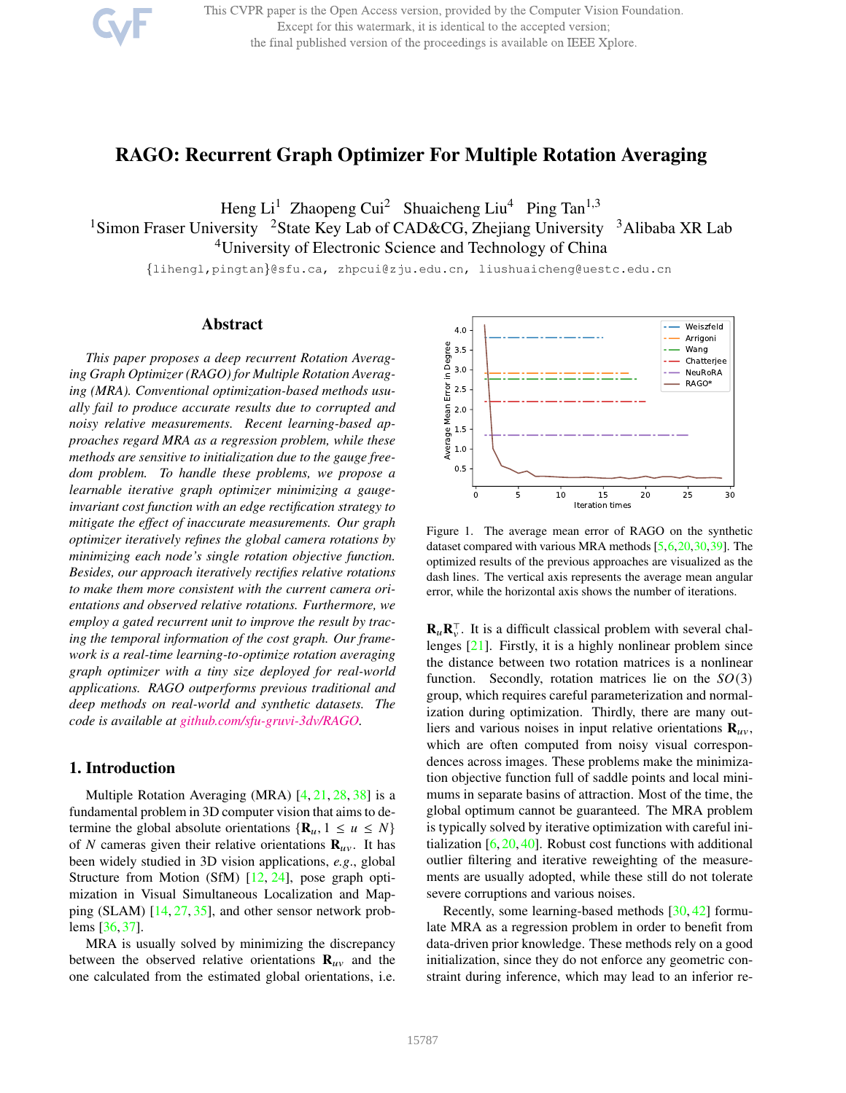This CVPR paper is the Open Access version, provided by the Computer Vision Foundation. Except for this watermark, it is identical to the accepted version; the final published version of the proceedings is available on IEEE Xplore.

# RAGO: Recurrent Graph Optimizer For Multiple Rotation Averaging

Heng  $Li<sup>1</sup>$  Zhaopeng Cui<sup>2</sup> Shuaicheng Liu<sup>4</sup> Ping Tan<sup>1,3</sup>

<sup>1</sup>Simon Fraser University <sup>2</sup>State Key Lab of CAD&CG, Zhejiang University <sup>3</sup>Alibaba XR Lab <sup>4</sup>University of Electronic Science and Technology of China

{lihengl,pingtan}@sfu.ca, zhpcui@zju.edu.cn, liushuaicheng@uestc.edu.cn

### Abstract

*This paper proposes a deep recurrent Rotation Averaging Graph Optimizer (RAGO) for Multiple Rotation Averaging (MRA). Conventional optimization-based methods usually fail to produce accurate results due to corrupted and noisy relative measurements. Recent learning-based approaches regard MRA as a regression problem, while these methods are sensitive to initialization due to the gauge freedom problem. To handle these problems, we propose a learnable iterative graph optimizer minimizing a gaugeinvariant cost function with an edge rectification strategy to mitigate the effect of inaccurate measurements. Our graph optimizer iteratively refines the global camera rotations by minimizing each node's single rotation objective function. Besides, our approach iteratively rectifies relative rotations to make them more consistent with the current camera orientations and observed relative rotations. Furthermore, we employ a gated recurrent unit to improve the result by tracing the temporal information of the cost graph. Our framework is a real-time learning-to-optimize rotation averaging graph optimizer with a tiny size deployed for real-world applications. RAGO outperforms previous traditional and deep methods on real-world and synthetic datasets. The code is available at github.com/sfu-gruvi-3dv/RAGO.*

### 1. Introduction

Multiple Rotation Averaging (MRA) [4, 21, 28, 38] is a fundamental problem in 3D computer vision that aims to determine the global absolute orientations  $\{R_u, 1 \leq u \leq N\}$ of N cameras given their relative orientations  $\mathbf{R}_{uv}$ . It has been widely studied in 3D vision applications, *e.g*., global Structure from Motion (SfM) [12, 24], pose graph optimization in Visual Simultaneous Localization and Mapping (SLAM) [14, 27, 35], and other sensor network problems [36, 37].

MRA is usually solved by minimizing the discrepancy between the observed relative orientations  $\mathbf{R}_{uv}$  and the one calculated from the estimated global orientations, i.e.



Figure 1. The average mean error of RAGO on the synthetic dataset compared with various MRA methods [5,6,20,30,39]. The optimized results of the previous approaches are visualized as the dash lines. The vertical axis represents the average mean angular error, while the horizontal axis shows the number of iterations.

 $\mathbf{R}_{u} \mathbf{R}_{v}^{\top}$ . It is a difficult classical problem with several challenges [21]. Firstly, it is a highly nonlinear problem since the distance between two rotation matrices is a nonlinear function. Secondly, rotation matrices lie on the  $SO(3)$ group, which requires careful parameterization and normalization during optimization. Thirdly, there are many outliers and various noises in input relative orientations  $\mathbf{R}_{uv}$ , which are often computed from noisy visual correspondences across images. These problems make the minimization objective function full of saddle points and local minimums in separate basins of attraction. Most of the time, the global optimum cannot be guaranteed. The MRA problem is typically solved by iterative optimization with careful initialization  $[6, 20, 40]$ . Robust cost functions with additional outlier filtering and iterative reweighting of the measurements are usually adopted, while these still do not tolerate severe corruptions and various noises.

Recently, some learning-based methods [30, 42] formulate MRA as a regression problem in order to benefit from data-driven prior knowledge. These methods rely on a good initialization, since they do not enforce any geometric constraint during inference, which may lead to an inferior re-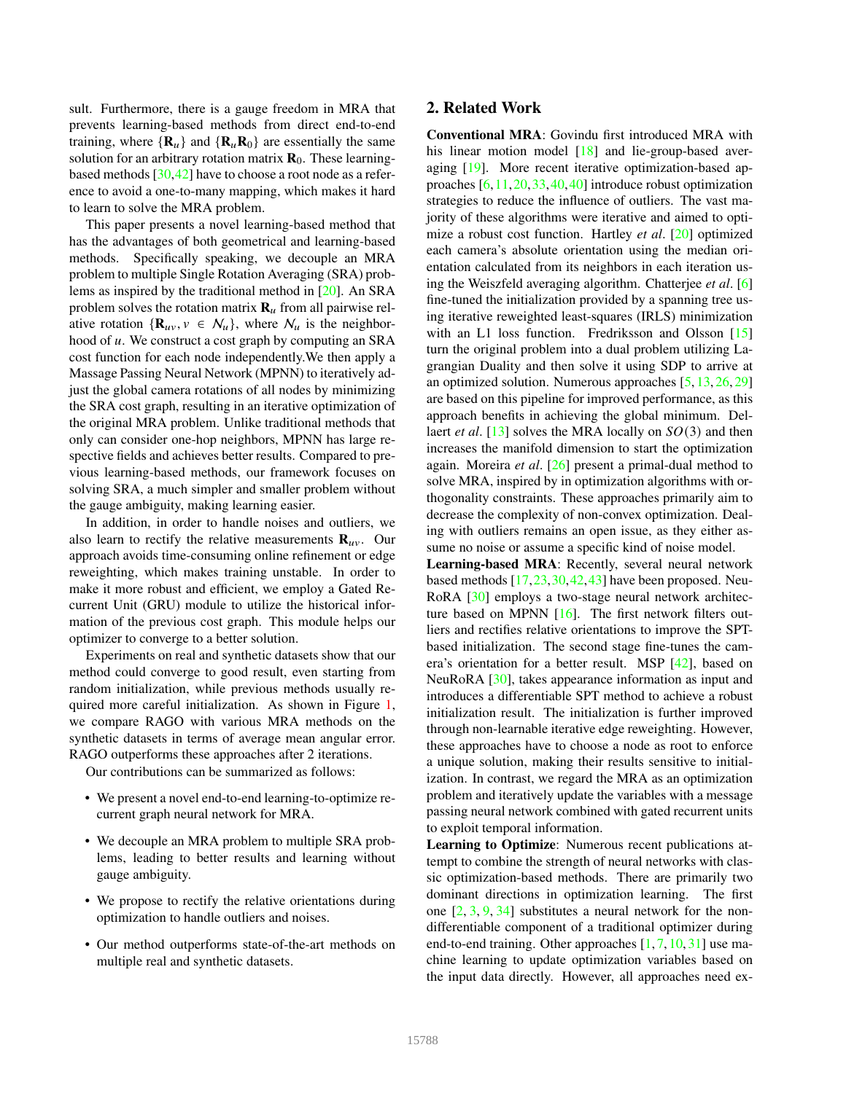sult. Furthermore, there is a gauge freedom in MRA that prevents learning-based methods from direct end-to-end training, where  ${\bf R}_u$  and  ${\bf R}_u{\bf R}_0$  are essentially the same solution for an arbitrary rotation matrix  $\mathbf{R}_0$ . These learningbased methods [30,42] have to choose a root node as a reference to avoid a one-to-many mapping, which makes it hard to learn to solve the MRA problem.

This paper presents a novel learning-based method that has the advantages of both geometrical and learning-based methods. Specifically speaking, we decouple an MRA problem to multiple Single Rotation Averaging (SRA) problems as inspired by the traditional method in [20]. An SRA problem solves the rotation matrix  $\mathbf{R}_{\mu}$  from all pairwise relative rotation  $\{R_{uv}, v \in \mathcal{N}_u\}$ , where  $\mathcal{N}_u$  is the neighborhood of  $u$ . We construct a cost graph by computing an SRA cost function for each node independently.We then apply a Massage Passing Neural Network (MPNN) to iteratively adjust the global camera rotations of all nodes by minimizing the SRA cost graph, resulting in an iterative optimization of the original MRA problem. Unlike traditional methods that only can consider one-hop neighbors, MPNN has large respective fields and achieves better results. Compared to previous learning-based methods, our framework focuses on solving SRA, a much simpler and smaller problem without the gauge ambiguity, making learning easier.

In addition, in order to handle noises and outliers, we also learn to rectify the relative measurements  $\mathbf{R}_{uv}$ . Our approach avoids time-consuming online refinement or edge reweighting, which makes training unstable. In order to make it more robust and efficient, we employ a Gated Recurrent Unit (GRU) module to utilize the historical information of the previous cost graph. This module helps our optimizer to converge to a better solution.

Experiments on real and synthetic datasets show that our method could converge to good result, even starting from random initialization, while previous methods usually required more careful initialization. As shown in Figure 1, we compare RAGO with various MRA methods on the synthetic datasets in terms of average mean angular error. RAGO outperforms these approaches after 2 iterations.

Our contributions can be summarized as follows:

- We present a novel end-to-end learning-to-optimize recurrent graph neural network for MRA.
- We decouple an MRA problem to multiple SRA problems, leading to better results and learning without gauge ambiguity.
- We propose to rectify the relative orientations during optimization to handle outliers and noises.
- Our method outperforms state-of-the-art methods on multiple real and synthetic datasets.

# 2. Related Work

Conventional MRA: Govindu first introduced MRA with his linear motion model [18] and lie-group-based averaging [19]. More recent iterative optimization-based approaches [6,11,20,33,40,40] introduce robust optimization strategies to reduce the influence of outliers. The vast majority of these algorithms were iterative and aimed to optimize a robust cost function. Hartley *et al*. [20] optimized each camera's absolute orientation using the median orientation calculated from its neighbors in each iteration using the Weiszfeld averaging algorithm. Chatterjee *et al*. [6] fine-tuned the initialization provided by a spanning tree using iterative reweighted least-squares (IRLS) minimization with an L1 loss function. Fredriksson and Olsson [15] turn the original problem into a dual problem utilizing Lagrangian Duality and then solve it using SDP to arrive at an optimized solution. Numerous approaches [5, 13, 26, 29] are based on this pipeline for improved performance, as this approach benefits in achieving the global minimum. Dellaert *et al.* [13] solves the MRA locally on  $SO(3)$  and then increases the manifold dimension to start the optimization again. Moreira *et al*. [26] present a primal-dual method to solve MRA, inspired by in optimization algorithms with orthogonality constraints. These approaches primarily aim to decrease the complexity of non-convex optimization. Dealing with outliers remains an open issue, as they either assume no noise or assume a specific kind of noise model.

Learning-based MRA: Recently, several neural network based methods [17,23,30,42,43] have been proposed. Neu-RoRA [30] employs a two-stage neural network architecture based on MPNN [16]. The first network filters outliers and rectifies relative orientations to improve the SPTbased initialization. The second stage fine-tunes the camera's orientation for a better result. MSP [42], based on NeuRoRA [30], takes appearance information as input and introduces a differentiable SPT method to achieve a robust initialization result. The initialization is further improved through non-learnable iterative edge reweighting. However, these approaches have to choose a node as root to enforce a unique solution, making their results sensitive to initialization. In contrast, we regard the MRA as an optimization problem and iteratively update the variables with a message passing neural network combined with gated recurrent units to exploit temporal information.

Learning to Optimize: Numerous recent publications attempt to combine the strength of neural networks with classic optimization-based methods. There are primarily two dominant directions in optimization learning. The first one [2, 3, 9, 34] substitutes a neural network for the nondifferentiable component of a traditional optimizer during end-to-end training. Other approaches  $[1, 7, 10, 31]$  use machine learning to update optimization variables based on the input data directly. However, all approaches need ex-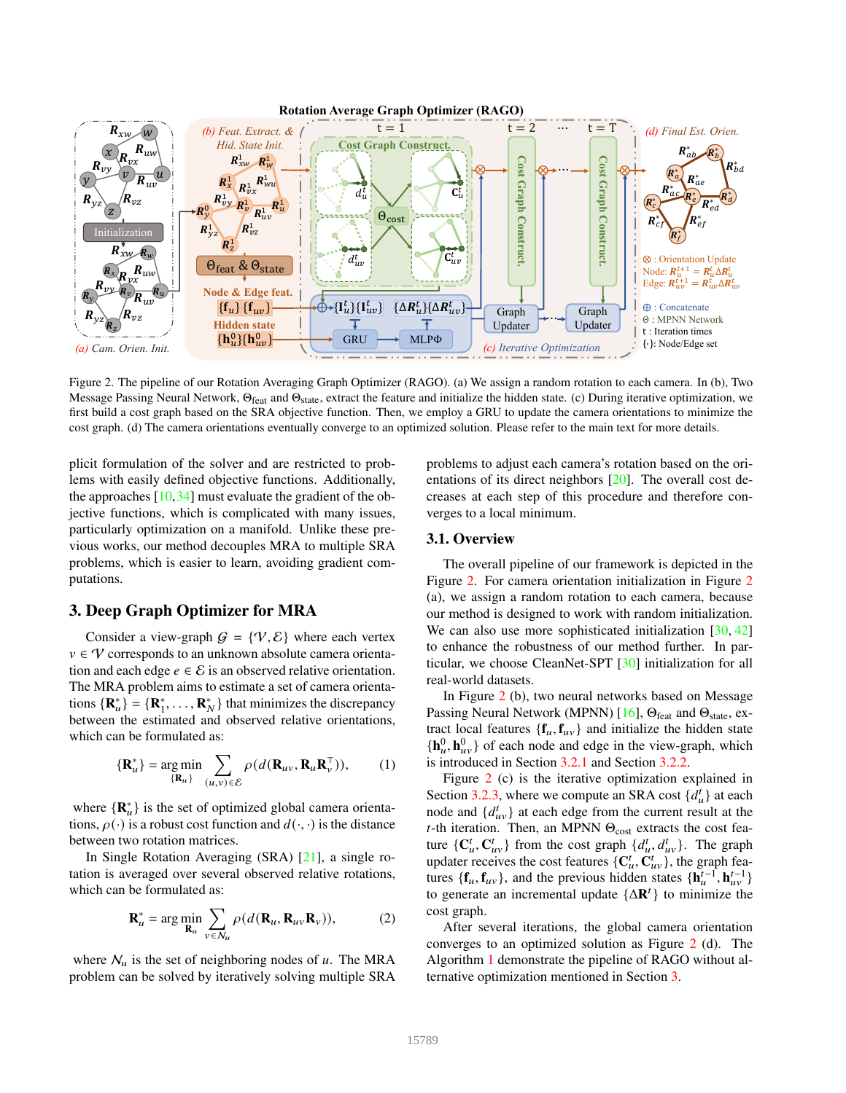

Figure 2. The pipeline of our Rotation Averaging Graph Optimizer (RAGO). (a) We assign a random rotation to each camera. In (b), Two Message Passing Neural Network,  $\Theta_{\text{feat}}$  and  $\Theta_{\text{state}}$ , extract the feature and initialize the hidden state. (c) During iterative optimization, we first build a cost graph based on the SRA objective function. Then, we employ a GRU to update the camera orientations to minimize the cost graph. (d) The camera orientations eventually converge to an optimized solution. Please refer to the main text for more details.

plicit formulation of the solver and are restricted to problems with easily defined objective functions. Additionally, the approaches [10,34] must evaluate the gradient of the objective functions, which is complicated with many issues, particularly optimization on a manifold. Unlike these previous works, our method decouples MRA to multiple SRA problems, which is easier to learn, avoiding gradient computations.

# 3. Deep Graph Optimizer for MRA

Consider a view-graph  $G = \{V, \mathcal{E}\}\$  where each vertex  $v \in V$  corresponds to an unknown absolute camera orientation and each edge  $e \in \mathcal{E}$  is an observed relative orientation. The MRA problem aims to estimate a set of camera orientations  ${\bf R}_{u}^{*}$  = { ${\bf R}_{1}^{*}$ , ...,  ${\bf R}_{N}^{*}$ } that minimizes the discrepancy between the estimated and observed relative orientations, which can be formulated as:

$$
\{\mathbf{R}_{u}^{*}\} = \underset{\{\mathbf{R}_{u}\}}{\arg\min} \sum_{(u,v)\in\mathcal{E}} \rho(d(\mathbf{R}_{uv}, \mathbf{R}_{u}\mathbf{R}_{v}^{\top})), \qquad (1)
$$

where  $\{R_u^*\}$  is the set of optimized global camera orientations,  $\rho(\cdot)$  is a robust cost function and  $d(\cdot, \cdot)$  is the distance between two rotation matrices.

In Single Rotation Averaging (SRA) [21], a single rotation is averaged over several observed relative rotations, which can be formulated as:

$$
\mathbf{R}_{u}^{*} = \arg\min_{\mathbf{R}_{u}} \sum_{v \in \mathcal{N}_{u}} \rho(d(\mathbf{R}_{u}, \mathbf{R}_{u}, \mathbf{R}_{v})),
$$
 (2)

where  $\mathcal{N}_u$  is the set of neighboring nodes of u. The MRA problem can be solved by iteratively solving multiple SRA problems to adjust each camera's rotation based on the orientations of its direct neighbors  $[20]$ . The overall cost decreases at each step of this procedure and therefore converges to a local minimum.

# 3.1. Overview

The overall pipeline of our framework is depicted in the Figure 2. For camera orientation initialization in Figure 2 (a), we assign a random rotation to each camera, because our method is designed to work with random initialization. We can also use more sophisticated initialization [30, 42] to enhance the robustness of our method further. In particular, we choose CleanNet-SPT [30] initialization for all real-world datasets.

In Figure 2 (b), two neural networks based on Message Passing Neural Network (MPNN) [16],  $\Theta_{\text{feat}}$  and  $\Theta_{\text{state}}$ , extract local features  $\{\mathbf{f}_u, \mathbf{f}_{uv}\}$  and initialize the hidden state  ${\bf h}_u^0, {\bf h}_{uv}^0$  of each node and edge in the view-graph, which is introduced in Section 3.2.1 and Section 3.2.2.

Figure 2 (c) is the iterative optimization explained in Section 3.2.3, where we compute an SRA cost  $\{d_u^t\}$  at each node and  $\{d_{uv}^t\}$  at each edge from the current result at the t-th iteration. Then, an MPNN  $\Theta_{\text{cost}}$  extracts the cost feature  $\{C^t_u, C^t_{uv}\}$  from the cost graph  $\{d^t_u, d^t_{uv}\}$ . The graph updater receives the cost features  $\{C_u^t, C_{uv}^t\}$ , the graph features  $\{\mathbf{f}_u, \mathbf{f}_{uv}\}$ , and the previous hidden states  $\{\mathbf{h}_u^{t-1}, \mathbf{h}_{uv}^{t-1}\}$ to generate an incremental update  $\{\Delta \mathbf{R}^t\}$  to minimize the cost graph.

After several iterations, the global camera orientation converges to an optimized solution as Figure 2 (d). The Algorithm 1 demonstrate the pipeline of RAGO without alternative optimization mentioned in Section 3.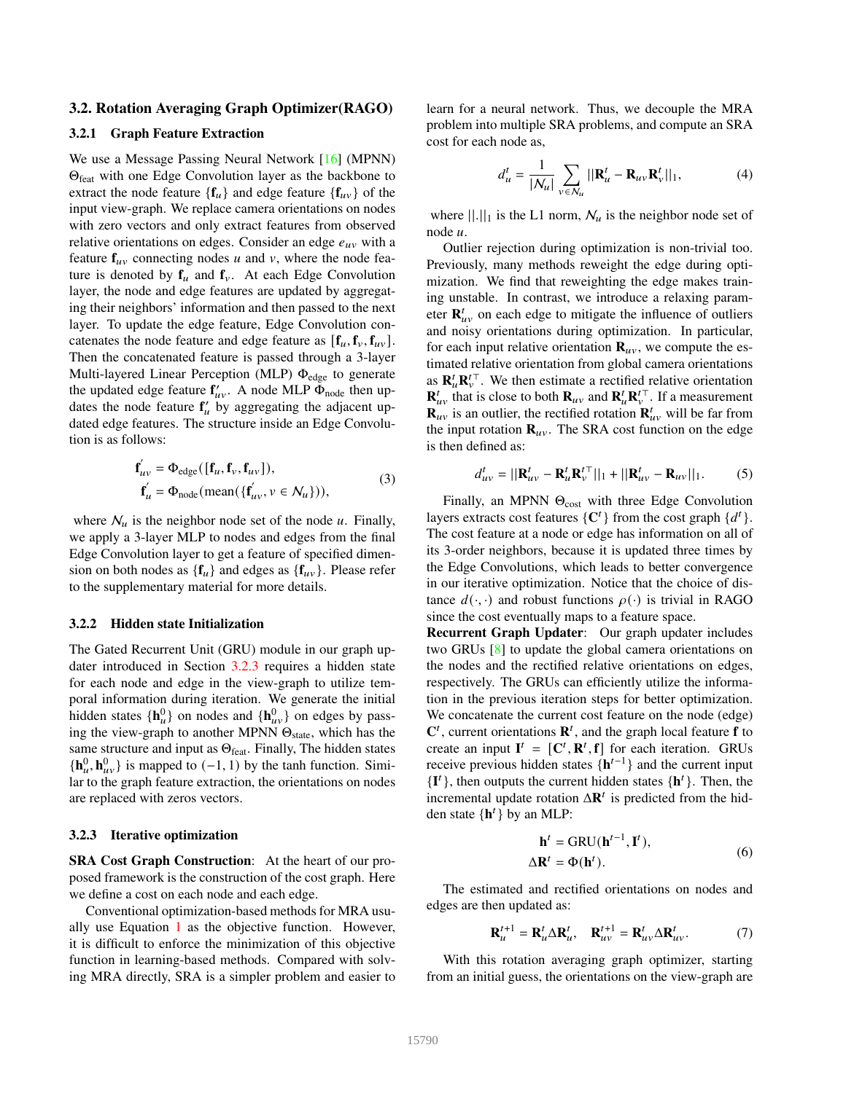#### 3.2. Rotation Averaging Graph Optimizer(RAGO)

#### 3.2.1 Graph Feature Extraction

We use a Message Passing Neural Network [16] (MPNN) Θfeat with one Edge Convolution layer as the backbone to extract the node feature  ${\bf f}_u$  and edge feature  ${\bf f}_{uv}$  of the input view-graph. We replace camera orientations on nodes with zero vectors and only extract features from observed relative orientations on edges. Consider an edge  $e_{uv}$  with a feature  $f_{uv}$  connecting nodes  $u$  and  $v$ , where the node feature is denoted by  $f_u$  and  $f_v$ . At each Edge Convolution layer, the node and edge features are updated by aggregating their neighbors' information and then passed to the next layer. To update the edge feature, Edge Convolution concatenates the node feature and edge feature as  $[\mathbf{f}_u, \mathbf{f}_v, \mathbf{f}_{uv}]$ . Then the concatenated feature is passed through a 3-layer Multi-layered Linear Perception (MLP)  $\Phi_{\text{edge}}$  to generate the updated edge feature  $f'_{uv}$ . A node MLP  $\bar{\Phi}_{\text{node}}$  then updates the node feature  $f'_{\mu}$  by aggregating the adjacent updated edge features. The structure inside an Edge Convolution is as follows:

$$
\mathbf{f}'_{uv} = \Phi_{\text{edge}}([\mathbf{f}_u, \mathbf{f}_v, \mathbf{f}_{uv}]),\n\mathbf{f}'_u = \Phi_{\text{node}}(\text{mean}(\{\mathbf{f}'_{uv}, v \in \mathcal{N}_u\})),
$$
\n(3)

where  $\mathcal{N}_u$  is the neighbor node set of the node  $u$ . Finally, we apply a 3-layer MLP to nodes and edges from the final Edge Convolution layer to get a feature of specified dimension on both nodes as  ${f_{u}}$  and edges as  ${f_{uv}}$ . Please refer to the supplementary material for more details.

#### 3.2.2 Hidden state Initialization

The Gated Recurrent Unit (GRU) module in our graph updater introduced in Section 3.2.3 requires a hidden state for each node and edge in the view-graph to utilize temporal information during iteration. We generate the initial hidden states  $\{h_u^0\}$  on nodes and  $\{h_{uv}^0\}$  on edges by passing the view-graph to another MPNN  $\Theta_{\text{state}}$ , which has the same structure and input as  $\Theta_{\text{feat}}$ . Finally, The hidden states  ${\bf h}_u^0, {\bf h}_{uv}^0$  is mapped to (−1, 1) by the tanh function. Similar to the graph feature extraction, the orientations on nodes are replaced with zeros vectors.

#### 3.2.3 Iterative optimization

SRA Cost Graph Construction: At the heart of our proposed framework is the construction of the cost graph. Here we define a cost on each node and each edge.

Conventional optimization-based methods for MRA usually use Equation 1 as the objective function. However, it is difficult to enforce the minimization of this objective function in learning-based methods. Compared with solving MRA directly, SRA is a simpler problem and easier to learn for a neural network. Thus, we decouple the MRA problem into multiple SRA problems, and compute an SRA cost for each node as,

$$
d_u^t = \frac{1}{|\mathcal{N}_u|} \sum_{v \in \mathcal{N}_u} ||\mathbf{R}_u^t - \mathbf{R}_{uv} \mathbf{R}_v^t||_1, \tag{4}
$$

where  $||.||_1$  is the L1 norm,  $\mathcal{N}_u$  is the neighbor node set of node  $\mu$ 

Outlier rejection during optimization is non-trivial too. Previously, many methods reweight the edge during optimization. We find that reweighting the edge makes training unstable. In contrast, we introduce a relaxing parameter  $\mathbf{R}_{uv}^t$  on each edge to mitigate the influence of outliers and noisy orientations during optimization. In particular, for each input relative orientation  $\mathbf{R}_{uv}$ , we compute the estimated relative orientation from global camera orientations as  $\mathbf{R}_{\mu}^{t} \mathbf{R}_{\nu}^{t}$ . We then estimate a rectified relative orientation  $\mathbf{R}_{uv}^t$  that is close to both  $\mathbf{R}_{uv}$  and  $\mathbf{R}_u^t \mathbf{R}_v^{t\top}$ . If a measurement  $\mathbf{R}_{uv}^{uv}$  is an outlier, the rectified rotation  $\mathbf{R}_{uv}^{t}$  will be far from the input rotation  $\mathbf{R}_{uv}$ . The SRA cost function on the edge is then defined as:

$$
d_{uv}^t = ||\mathbf{R}_{uv}^t - \mathbf{R}_u^t \mathbf{R}_v^{t\top}||_1 + ||\mathbf{R}_{uv}^t - \mathbf{R}_{uv}||_1.
$$
 (5)

Finally, an MPNN  $\Theta_{cost}$  with three Edge Convolution layers extracts cost features  $\{C^t\}$  from the cost graph  $\{d^t\}$ . The cost feature at a node or edge has information on all of its 3-order neighbors, because it is updated three times by the Edge Convolutions, which leads to better convergence in our iterative optimization. Notice that the choice of distance  $d(\cdot, \cdot)$  and robust functions  $\rho(\cdot)$  is trivial in RAGO since the cost eventually maps to a feature space.

Recurrent Graph Updater: Our graph updater includes two GRUs [8] to update the global camera orientations on the nodes and the rectified relative orientations on edges, respectively. The GRUs can efficiently utilize the information in the previous iteration steps for better optimization. We concatenate the current cost feature on the node (edge)  $C^t$ , current orientations  $R^t$ , and the graph local feature **f** to create an input  $I^t = [C^t, R^t, f]$  for each iteration. GRUs receive previous hidden states  $\{h^{t-1}\}\$ and the current input {**I** }, then outputs the current hidden states {**h** }. Then, the incremental update rotation  $\Delta \mathbf{R}^t$  is predicted from the hidden state  $\{h^t\}$  by an MLP:

$$
\mathbf{h}^{t} = \text{GRU}(\mathbf{h}^{t-1}, \mathbf{I}^{t}),
$$
  

$$
\Delta \mathbf{R}^{t} = \Phi(\mathbf{h}^{t}).
$$
 (6)

The estimated and rectified orientations on nodes and edges are then updated as:

$$
\mathbf{R}_{u}^{t+1} = \mathbf{R}_{u}^{t} \Delta \mathbf{R}_{u}^{t}, \quad \mathbf{R}_{uv}^{t+1} = \mathbf{R}_{uv}^{t} \Delta \mathbf{R}_{uv}^{t}.
$$
 (7)

With this rotation averaging graph optimizer, starting from an initial guess, the orientations on the view-graph are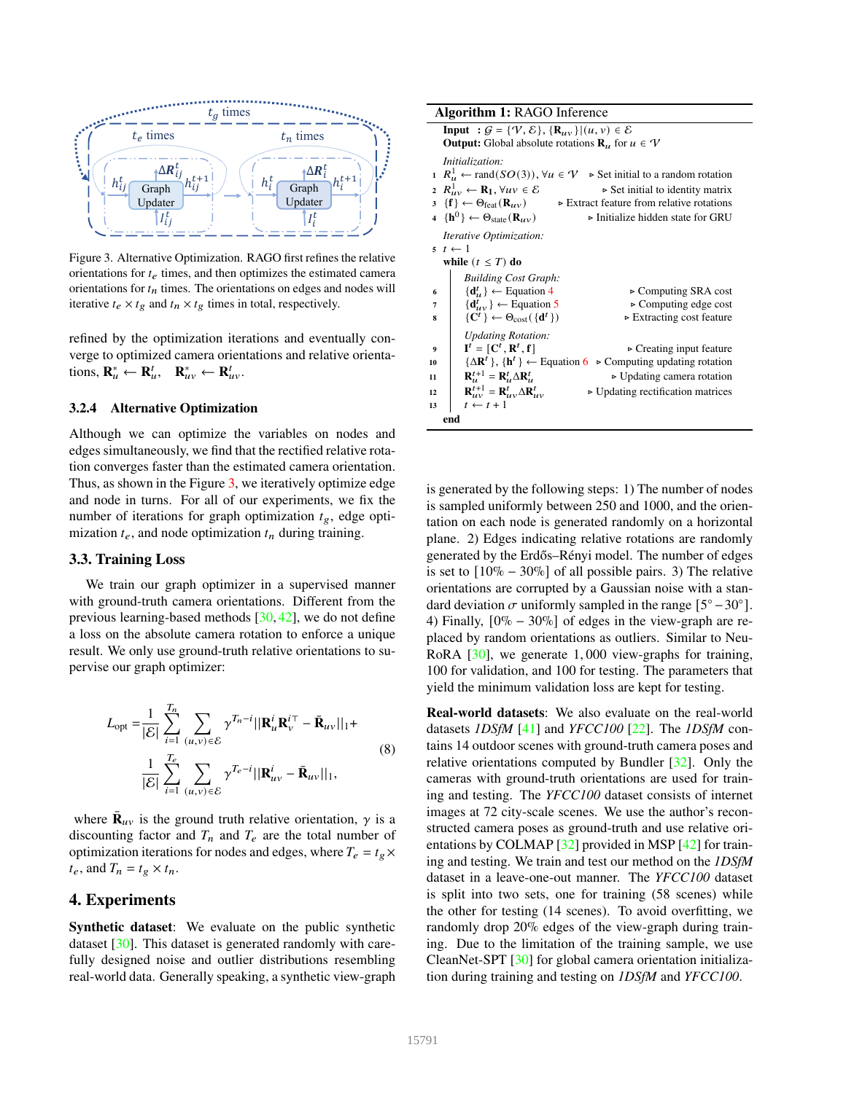

Figure 3. Alternative Optimization. RAGO first refines the relative orientations for  $t_e$  times, and then optimizes the estimated camera orientations for  $t_n$  times. The orientations on edges and nodes will iterative  $t_e \times t_g$  and  $t_n \times t_g$  times in total, respectively.

refined by the optimization iterations and eventually converge to optimized camera orientations and relative orientations,  $\mathbf{R}_{u}^{*} \leftarrow \mathbf{R}_{u}^{t}, \quad \mathbf{R}_{uv}^{*} \leftarrow \mathbf{R}_{uv}^{t}$ .

### 3.2.4 Alternative Optimization

Although we can optimize the variables on nodes and edges simultaneously, we find that the rectified relative rotation converges faster than the estimated camera orientation. Thus, as shown in the Figure 3, we iteratively optimize edge and node in turns. For all of our experiments, we fix the number of iterations for graph optimization  $t_{\rm g}$ , edge optimization  $t_e$ , and node optimization  $t_n$  during training.

### 3.3. Training Loss

We train our graph optimizer in a supervised manner with ground-truth camera orientations. Different from the previous learning-based methods [30, 42], we do not define a loss on the absolute camera rotation to enforce a unique result. We only use ground-truth relative orientations to supervise our graph optimizer:

$$
L_{opt} = \frac{1}{|\mathcal{E}|} \sum_{i=1}^{T_n} \sum_{(u,v) \in \mathcal{E}} \gamma^{T_n - i} ||\mathbf{R}_u^i \mathbf{R}_v^{i\top} - \bar{\mathbf{R}}_{uv}||_1 +
$$
  

$$
\frac{1}{|\mathcal{E}|} \sum_{i=1}^{T_e} \sum_{(u,v) \in \mathcal{E}} \gamma^{T_e - i} ||\mathbf{R}_{uv}^i - \bar{\mathbf{R}}_{uv}||_1,
$$
 (8)

where  $\bar{\mathbf{R}}_{uv}$  is the ground truth relative orientation,  $\gamma$  is a discounting factor and  $T_n$  and  $T_e$  are the total number of optimization iterations for nodes and edges, where  $T_e = t_e \times$  $t_e$ , and  $T_n = t_g \times t_n$ .

### 4. Experiments

Synthetic dataset: We evaluate on the public synthetic dataset [30]. This dataset is generated randomly with carefully designed noise and outlier distributions resembling real-world data. Generally speaking, a synthetic view-graph

| <b>Algorithm 1: RAGO Inference</b>                                                                                       |                                                  |  |  |  |  |  |  |  |
|--------------------------------------------------------------------------------------------------------------------------|--------------------------------------------------|--|--|--|--|--|--|--|
| Input : $G = \{V, \mathcal{E}\}, \{R_{uv}\}\mid (u, v) \in \mathcal{E}$                                                  |                                                  |  |  |  |  |  |  |  |
| <b>Output:</b> Global absolute rotations $\mathbf{R}_u$ for $u \in \mathcal{V}$                                          |                                                  |  |  |  |  |  |  |  |
| Initialization:                                                                                                          |                                                  |  |  |  |  |  |  |  |
| $1 \ R_u^1 \leftarrow \text{rand}(SO(3)), \forall u \in \mathcal{V} \Rightarrow \text{Set initial to a random rotation}$ |                                                  |  |  |  |  |  |  |  |
| 2 $R_{uv}^1 \leftarrow \mathbf{R}_1, \forall uv \in \mathcal{E}$                                                         | $\triangleright$ Set initial to identity matrix  |  |  |  |  |  |  |  |
| $3 \{f\} \leftarrow \Theta_{\text{feat}}(R_{uv})$<br>$\triangleright$ Extract feature from relative rotations            |                                                  |  |  |  |  |  |  |  |
| 4 $\{h^0\} \leftarrow \Theta_{\text{state}}(R_{uv})$                                                                     | $\triangleright$ Initialize hidden state for GRU |  |  |  |  |  |  |  |
| Iterative Optimization:                                                                                                  |                                                  |  |  |  |  |  |  |  |
| $5 \t t \leftarrow 1$                                                                                                    |                                                  |  |  |  |  |  |  |  |
| while $(t \leq T)$ do                                                                                                    |                                                  |  |  |  |  |  |  |  |
| <b>Building Cost Graph:</b>                                                                                              |                                                  |  |  |  |  |  |  |  |
| $\{d^t_u\} \leftarrow$ Equation 4<br>6                                                                                   | $\triangleright$ Computing SRA cost              |  |  |  |  |  |  |  |
| $\{d_{uv}^t\} \leftarrow$ Equation 5<br>7                                                                                | $\triangleright$ Computing edge cost             |  |  |  |  |  |  |  |
| $\{C^t\} \leftarrow \Theta_{\text{cost}}(\{\mathbf{d}^t\})$<br>8                                                         | $\triangleright$ Extracting cost feature         |  |  |  |  |  |  |  |
| <b>Updating Rotation:</b>                                                                                                |                                                  |  |  |  |  |  |  |  |
| $\mathbf{I}^t = [\mathbf{C}^t, \mathbf{R}^t, \mathbf{f}]$<br>9                                                           | $\triangleright$ Creating input feature          |  |  |  |  |  |  |  |
| $\{\Delta \mathbf{R}^t\}, \{\mathbf{h}^t\} \leftarrow$ Equation 6 $\triangleright$ Computing updating rotation<br>10     |                                                  |  |  |  |  |  |  |  |
| $\mathbf{R}_{\mathbf{u}}^{t+1} = \mathbf{R}_{\mathbf{u}}^t \Delta \mathbf{R}_{\mathbf{u}}^t$<br>11                       | $\triangleright$ Updating camera rotation        |  |  |  |  |  |  |  |
| $\mathbf{R}_{\mu\nu}^{t+1} = \mathbf{R}_{\mu\nu}^t \Delta \mathbf{R}_{\mu\nu}^t$<br>12                                   | $\triangleright$ Updating rectification matrices |  |  |  |  |  |  |  |
| $t \leftarrow t + 1$<br>13                                                                                               |                                                  |  |  |  |  |  |  |  |
| end                                                                                                                      |                                                  |  |  |  |  |  |  |  |

is generated by the following steps: 1) The number of nodes is sampled uniformly between 250 and 1000, and the orientation on each node is generated randomly on a horizontal plane. 2) Edges indicating relative rotations are randomly generated by the Erdős–Rényi model. The number of edges is set to  $[10\% - 30\%]$  of all possible pairs. 3) The relative orientations are corrupted by a Gaussian noise with a standard deviation  $\sigma$  uniformly sampled in the range  $[5^{\circ} - 30^{\circ}]$ . 4) Finally,  $[0\% - 30\%]$  of edges in the view-graph are replaced by random orientations as outliers. Similar to Neu-RoRA [30], we generate 1, 000 view-graphs for training, 100 for validation, and 100 for testing. The parameters that yield the minimum validation loss are kept for testing.

Real-world datasets: We also evaluate on the real-world datasets *1DSfM* [41] and *YFCC100* [22]. The *1DSfM* contains 14 outdoor scenes with ground-truth camera poses and relative orientations computed by Bundler [32]. Only the cameras with ground-truth orientations are used for training and testing. The *YFCC100* dataset consists of internet images at 72 city-scale scenes. We use the author's reconstructed camera poses as ground-truth and use relative orientations by COLMAP [32] provided in MSP [42] for training and testing. We train and test our method on the *1DSfM* dataset in a leave-one-out manner. The *YFCC100* dataset is split into two sets, one for training (58 scenes) while the other for testing (14 scenes). To avoid overfitting, we randomly drop 20% edges of the view-graph during training. Due to the limitation of the training sample, we use CleanNet-SPT [30] for global camera orientation initialization during training and testing on *1DSfM* and *YFCC100*.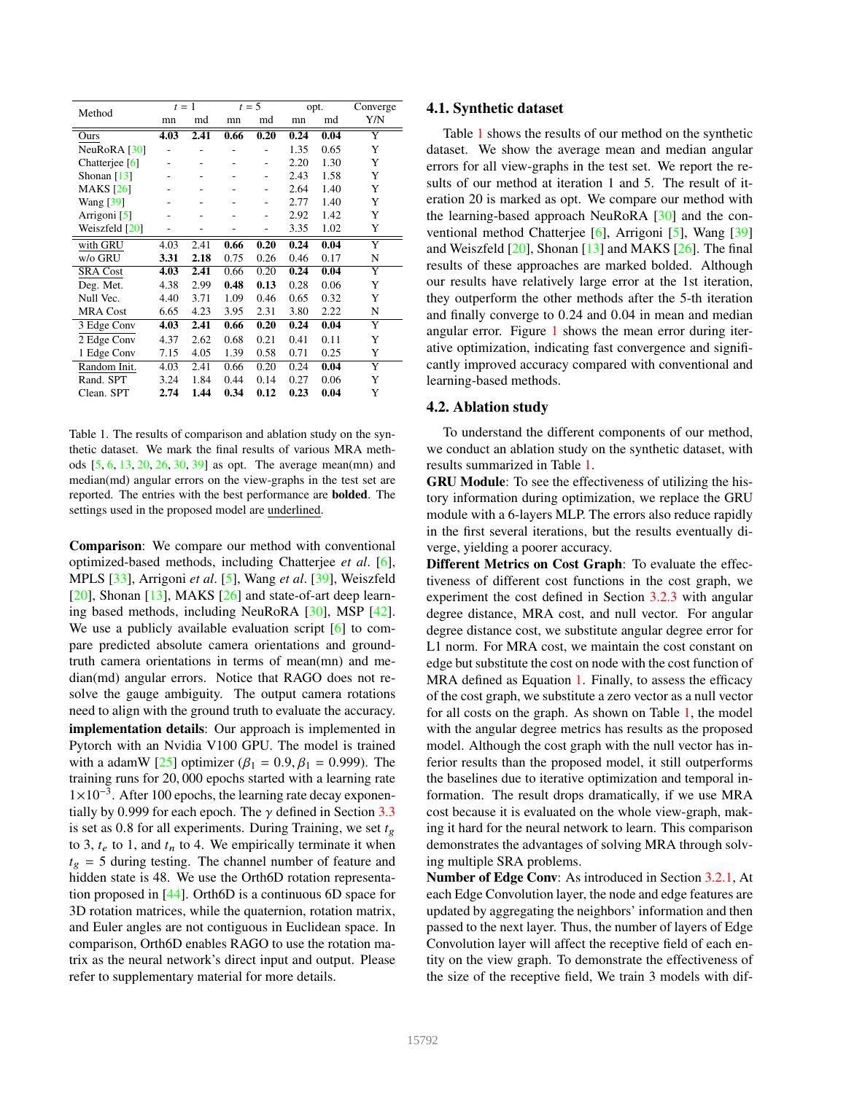| Method           | $t=1$ |                |                              | $t=5$ |      | opt. | Converge |
|------------------|-------|----------------|------------------------------|-------|------|------|----------|
|                  | mn    | md             | mn                           | md    | mn   | md   | Y/N      |
| Ours             | 4.03  | 2.41           | 0.66                         | 0.20  | 0.24 | 0.04 | Y        |
| NeuRoRA [30]     |       |                | $\overline{a}$               |       | 1.35 | 0.65 | Y        |
| Chatterjee [6]   |       |                |                              |       | 2.20 | 1.30 | Y        |
| Shonan $[13]$    |       |                |                              |       | 2.43 | 1.58 | Y        |
| <b>MAKS</b> [26] |       | -              | $\qquad \qquad \blacksquare$ |       | 2.64 | 1.40 | Y        |
| <b>Wang</b> [39] |       |                |                              |       | 2.77 | 1.40 | Y        |
| Arrigoni [5]     |       |                |                              |       | 2.92 | 1.42 | Y        |
| Weiszfeld [20]   |       | $\overline{a}$ | -                            | -     | 3.35 | 1.02 | Y        |
| with GRU         | 4.03  | 2.41           | 0.66                         | 0.20  | 0.24 | 0.04 | Y        |
| w/o GRU          | 3.31  | 2.18           | 0.75                         | 0.26  | 0.46 | 0.17 | N        |
| <b>SRA Cost</b>  | 4.03  | 2.41           | 0.66                         | 0.20  | 0.24 | 0.04 | Y        |
| Deg. Met.        | 4.38  | 2.99           | 0.48                         | 0.13  | 0.28 | 0.06 | Y        |
| Null Vec.        | 4.40  | 3.71           | 1.09                         | 0.46  | 0.65 | 0.32 | Y        |
| <b>MRA Cost</b>  | 6.65  | 4.23           | 3.95                         | 2.31  | 3.80 | 2.22 | N        |
| 3 Edge Conv      | 4.03  | 2.41           | 0.66                         | 0.20  | 0.24 | 0.04 | Y        |
| 2 Edge Conv      | 4.37  | 2.62           | 0.68                         | 0.21  | 0.41 | 0.11 | Y        |
| 1 Edge Conv      | 7.15  | 4.05           | 1.39                         | 0.58  | 0.71 | 0.25 | Y        |
| Random Init.     | 4.03  | 2.41           | 0.66                         | 0.20  | 0.24 | 0.04 | Y        |
| Rand. SPT        | 3.24  | 1.84           | 0.44                         | 0.14  | 0.27 | 0.06 | Y        |
| Clean. SPT       | 2.74  | 1.44           | 0.34                         | 0.12  | 0.23 | 0.04 | Y        |

Table 1. The results of comparison and ablation study on the synthetic dataset. We mark the final results of various MRA methods [5, 6, 13, 20, 26, 30, 39] as opt. The average mean(mn) and median(md) angular errors on the view-graphs in the test set are reported. The entries with the best performance are bolded. The settings used in the proposed model are underlined.

Comparison: We compare our method with conventional optimized-based methods, including Chatterjee *et al*. [6], MPLS [33], Arrigoni *et al*. [5], Wang *et al*. [39], Weiszfeld [20], Shonan [13], MAKS [26] and state-of-art deep learning based methods, including NeuRoRA [30], MSP [42]. We use a publicly available evaluation script [6] to compare predicted absolute camera orientations and groundtruth camera orientations in terms of mean(mn) and median(md) angular errors. Notice that RAGO does not resolve the gauge ambiguity. The output camera rotations need to align with the ground truth to evaluate the accuracy. implementation details: Our approach is implemented in Pytorch with an Nvidia V100 GPU. The model is trained with a adamW [25] optimizer ( $\beta_1 = 0.9, \beta_1 = 0.999$ ). The training runs for 20, 000 epochs started with a learning rate 1×10<sup>-3</sup>. After 100 epochs, the learning rate decay exponentially by 0.999 for each epoch. The  $\gamma$  defined in Section 3.3 is set as 0.8 for all experiments. During Training, we set  $t_{\varrho}$ to 3,  $t_e$  to 1, and  $t_n$  to 4. We empirically terminate it when  $t_g = 5$  during testing. The channel number of feature and hidden state is 48. We use the Orth6D rotation representation proposed in [44]. Orth6D is a continuous 6D space for 3D rotation matrices, while the quaternion, rotation matrix, and Euler angles are not contiguous in Euclidean space. In comparison, Orth6D enables RAGO to use the rotation matrix as the neural network's direct input and output. Please refer to supplementary material for more details.

#### 4.1. Synthetic dataset

Table 1 shows the results of our method on the synthetic dataset. We show the average mean and median angular errors for all view-graphs in the test set. We report the results of our method at iteration 1 and 5. The result of iteration 20 is marked as opt. We compare our method with the learning-based approach NeuRoRA [30] and the conventional method Chatterjee [6], Arrigoni [5], Wang [39] and Weiszfeld [20], Shonan [13] and MAKS [26]. The final results of these approaches are marked bolded. Although our results have relatively large error at the 1st iteration, they outperform the other methods after the 5-th iteration and finally converge to 0.24 and 0.04 in mean and median angular error. Figure 1 shows the mean error during iterative optimization, indicating fast convergence and significantly improved accuracy compared with conventional and learning-based methods.

#### 4.2. Ablation study

To understand the different components of our method, we conduct an ablation study on the synthetic dataset, with results summarized in Table 1.

GRU Module: To see the effectiveness of utilizing the history information during optimization, we replace the GRU module with a 6-layers MLP. The errors also reduce rapidly in the first several iterations, but the results eventually diverge, yielding a poorer accuracy.

Different Metrics on Cost Graph: To evaluate the effectiveness of different cost functions in the cost graph, we experiment the cost defined in Section 3.2.3 with angular degree distance, MRA cost, and null vector. For angular degree distance cost, we substitute angular degree error for L1 norm. For MRA cost, we maintain the cost constant on edge but substitute the cost on node with the cost function of MRA defined as Equation 1. Finally, to assess the efficacy of the cost graph, we substitute a zero vector as a null vector for all costs on the graph. As shown on Table 1, the model with the angular degree metrics has results as the proposed model. Although the cost graph with the null vector has inferior results than the proposed model, it still outperforms the baselines due to iterative optimization and temporal information. The result drops dramatically, if we use MRA cost because it is evaluated on the whole view-graph, making it hard for the neural network to learn. This comparison demonstrates the advantages of solving MRA through solving multiple SRA problems.

Number of Edge Conv: As introduced in Section 3.2.1, At each Edge Convolution layer, the node and edge features are updated by aggregating the neighbors' information and then passed to the next layer. Thus, the number of layers of Edge Convolution layer will affect the receptive field of each entity on the view graph. To demonstrate the effectiveness of the size of the receptive field, We train 3 models with dif-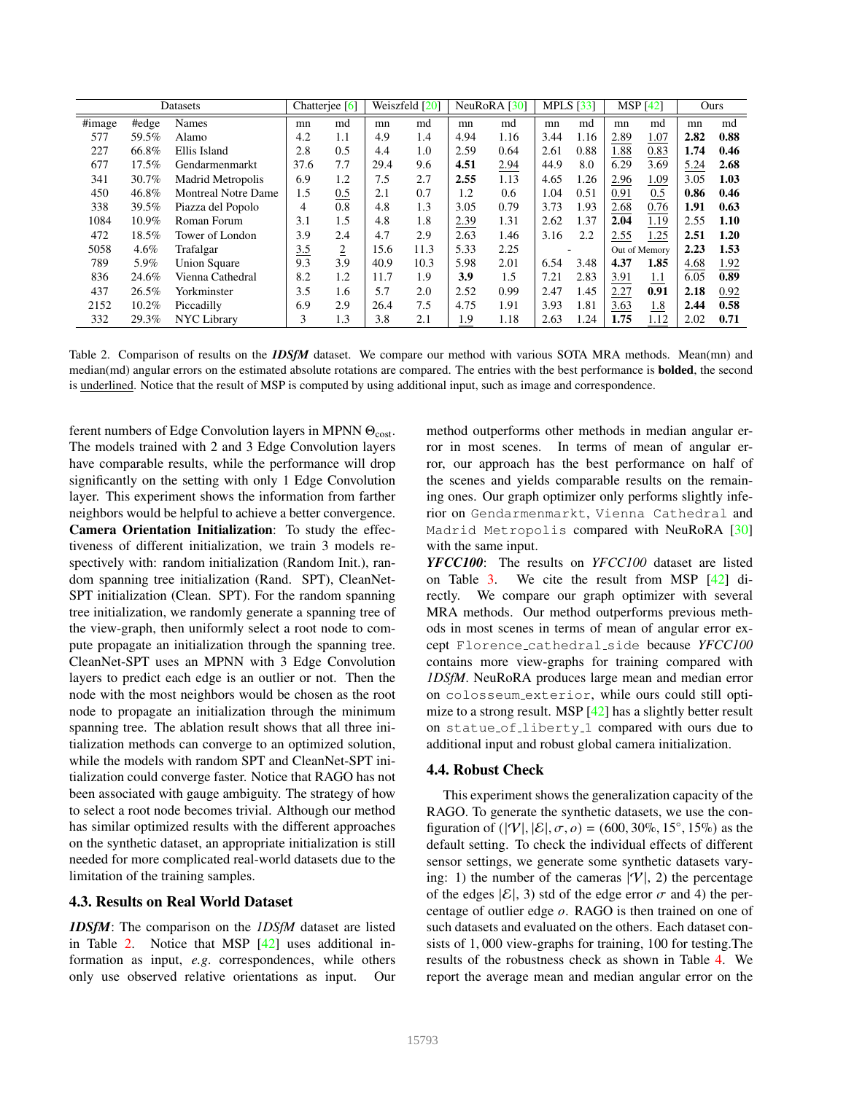|                             |       | Datasets                   |                | Chatterjee [6] |      | Weiszfeld [20] |      | NeuRoRA $\lceil 30 \rceil$ | MPLS $[33]$ |      | <b>MSP</b> [42] |      | Ours |      |
|-----------------------------|-------|----------------------------|----------------|----------------|------|----------------|------|----------------------------|-------------|------|-----------------|------|------|------|
| $\overline{\text{H}}$ image | #edge | <b>Names</b>               | mn             | md             | mn   | md             | mn   | md                         | mn          | md   | mn              | md   | mn   | md   |
| 577                         | 59.5% | Alamo                      | 4.2            | 1.1            | 4.9  | 1.4            | 4.94 | 1.16                       | 3.44        | 1.16 | 2.89            | 1.07 | 2.82 | 0.88 |
| 227                         | 66.8% | Ellis Island               | 2.8            | 0.5            | 4.4  | 1.0            | 2.59 | 0.64                       | 2.61        | 0.88 | 1.88            | 0.83 | 1.74 | 0.46 |
| 677                         | 17.5% | Gendarmenmarkt             | 37.6           | 7.7            | 29.4 | 9.6            | 4.51 | 2.94                       | 44.9        | 8.0  | 6.29            | 3.69 | 5.24 | 2.68 |
| 341                         | 30.7% | Madrid Metropolis          | 6.9            | 1.2            | 7.5  | 2.7            | 2.55 | 1.13                       | 4.65        | 1.26 | 2.96            | 1.09 | 3.05 | 1.03 |
| 450                         | 46.8% | <b>Montreal Notre Dame</b> | 1.5            | 0.5            | 2.1  | 0.7            | 1.2  | 0.6                        | 1.04        | 0.51 | 0.91            | 0.5  | 0.86 | 0.46 |
| 338                         | 39.5% | Piazza del Popolo          | $\overline{4}$ | 0.8            | 4.8  | 1.3            | 3.05 | 0.79                       | 3.73        | 1.93 | 2.68            | 0.76 | 1.91 | 0.63 |
| 1084                        | 10.9% | Roman Forum                | 3.1            | 1.5            | 4.8  | 1.8            | 2.39 | 1.31                       | 2.62        | 1.37 | 2.04            | 1.19 | 2.55 | 1.10 |
| 472                         | 18.5% | Tower of London            | 3.9            | 2.4            | 4.7  | 2.9            | 2.63 | 1.46                       | 3.16        | 2.2  | 2.55            | 1.25 | 2.51 | 1.20 |
| 5058                        | 4.6%  | Trafalgar                  | 3.5<br>$-$     | $\overline{2}$ | 15.6 | 11.3           | 5.33 | 2.25                       |             |      | Out of Memory   |      | 2.23 | 1.53 |
| 789                         | 5.9%  | <b>Union Square</b>        | 9.3            | 3.9            | 40.9 | 10.3           | 5.98 | 2.01                       | 6.54        | 3.48 | 4.37            | 1.85 | 4.68 | 1.92 |
| 836                         | 24.6% | Vienna Cathedral           | 8.2            | 1.2            | 11.7 | 1.9            | 3.9  | 1.5                        | 7.21        | 2.83 | 3.91            | 1.1  | 6.05 | 0.89 |
| 437                         | 26.5% | Yorkminster                | 3.5            | 1.6            | 5.7  | 2.0            | 2.52 | 0.99                       | 2.47        | 1.45 | 2.27            | 0.91 | 2.18 | 0.92 |
| 2152                        | 10.2% | Piccadilly                 | 6.9            | 2.9            | 26.4 | 7.5            | 4.75 | 1.91                       | 3.93        | 1.81 | 3.63            | 1.8  | 2.44 | 0.58 |
| 332                         | 29.3% | <b>NYC</b> Library         | 3              | 1.3            | 3.8  | 2.1            | 1.9  | 1.18                       | 2.63        | 1.24 | 1.75            | 1.12 | 2.02 | 0.71 |

Table 2. Comparison of results on the *1DSfM* dataset. We compare our method with various SOTA MRA methods. Mean(mn) and median(md) angular errors on the estimated absolute rotations are compared. The entries with the best performance is **bolded**, the second is underlined. Notice that the result of MSP is computed by using additional input, such as image and correspondence.

ferent numbers of Edge Convolution layers in MPNN  $\Theta_{\text{cost}}$ . The models trained with 2 and 3 Edge Convolution layers have comparable results, while the performance will drop significantly on the setting with only 1 Edge Convolution layer. This experiment shows the information from farther neighbors would be helpful to achieve a better convergence. Camera Orientation Initialization: To study the effectiveness of different initialization, we train 3 models respectively with: random initialization (Random Init.), random spanning tree initialization (Rand. SPT), CleanNet-SPT initialization (Clean. SPT). For the random spanning tree initialization, we randomly generate a spanning tree of the view-graph, then uniformly select a root node to compute propagate an initialization through the spanning tree. CleanNet-SPT uses an MPNN with 3 Edge Convolution layers to predict each edge is an outlier or not. Then the node with the most neighbors would be chosen as the root node to propagate an initialization through the minimum spanning tree. The ablation result shows that all three initialization methods can converge to an optimized solution, while the models with random SPT and CleanNet-SPT initialization could converge faster. Notice that RAGO has not been associated with gauge ambiguity. The strategy of how to select a root node becomes trivial. Although our method has similar optimized results with the different approaches on the synthetic dataset, an appropriate initialization is still needed for more complicated real-world datasets due to the limitation of the training samples.

### 4.3. Results on Real World Dataset

*1DSfM*: The comparison on the *1DSfM* dataset are listed in Table 2. Notice that MSP [42] uses additional information as input, *e.g*. correspondences, while others only use observed relative orientations as input. Our method outperforms other methods in median angular error in most scenes. In terms of mean of angular error, our approach has the best performance on half of the scenes and yields comparable results on the remaining ones. Our graph optimizer only performs slightly inferior on Gendarmenmarkt, Vienna Cathedral and Madrid Metropolis compared with NeuRoRA [30] with the same input.

*YFCC100*: The results on *YFCC100* dataset are listed on Table 3. We cite the result from MSP [42] directly. We compare our graph optimizer with several MRA methods. Our method outperforms previous methods in most scenes in terms of mean of angular error except Florence cathedral side because *YFCC100* contains more view-graphs for training compared with *1DSfM*. NeuRoRA produces large mean and median error on colosseum exterior, while ours could still optimize to a strong result. MSP [42] has a slightly better result on statue of liberty 1 compared with ours due to additional input and robust global camera initialization.

#### 4.4. Robust Check

This experiment shows the generalization capacity of the RAGO. To generate the synthetic datasets, we use the configuration of  $(|V|, |\mathcal{E}|, \sigma, o) = (600, 30\%, 15^\circ, 15\%)$  as the default setting. To check the individual effects of different sensor settings, we generate some synthetic datasets varying: 1) the number of the cameras  $|\mathcal{V}|$ , 2) the percentage of the edges  $|\mathcal{E}|$ , 3) std of the edge error  $\sigma$  and 4) the percentage of outlier edge  $o$ . RAGO is then trained on one of such datasets and evaluated on the others. Each dataset consists of 1, 000 view-graphs for training, 100 for testing.The results of the robustness check as shown in Table 4. We report the average mean and median angular error on the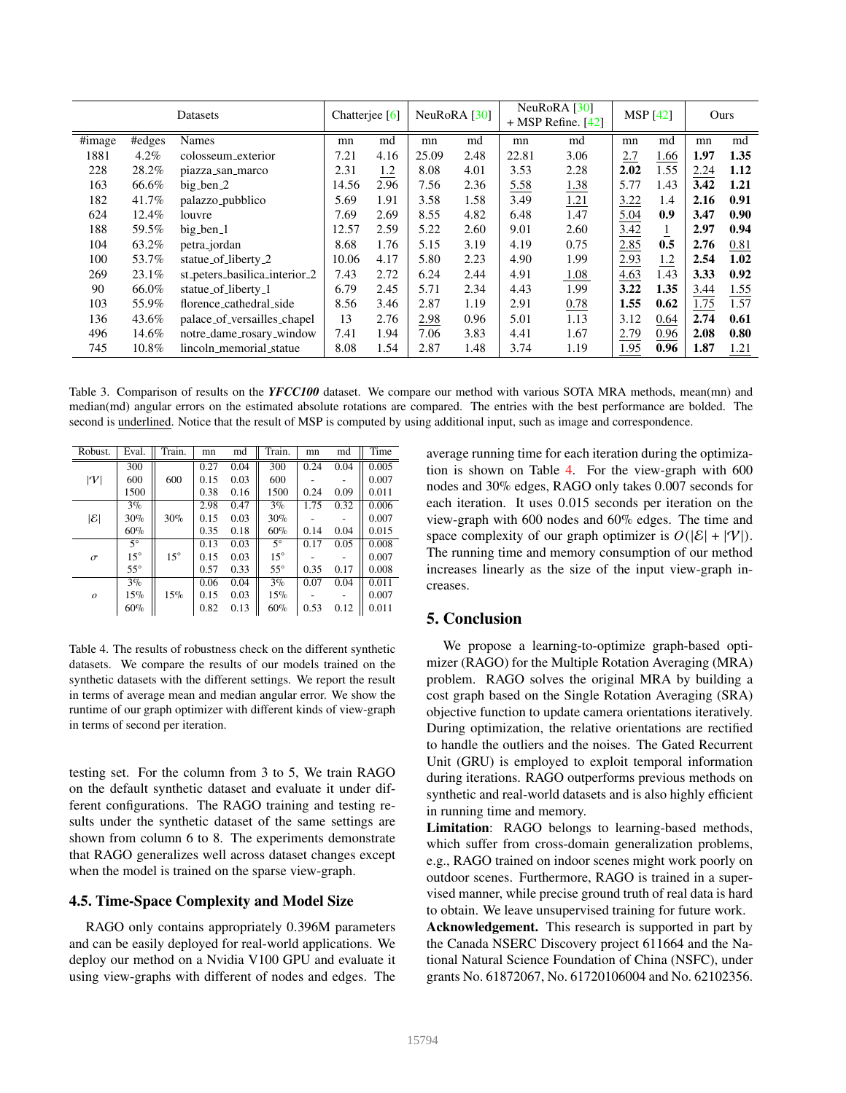| Datasets                    |         | Chatteriee [6]                |       | NeuRoRA [30] |       | NeuRoRA <sup>[30]</sup><br>$+$ MSP Refine. [42] |       | <b>MSP</b> [42] |      | Ours           |      |      |
|-----------------------------|---------|-------------------------------|-------|--------------|-------|-------------------------------------------------|-------|-----------------|------|----------------|------|------|
| $\overline{\text{H}}$ image | #edges  | <b>Names</b>                  | mn    | md           | mn    | md                                              | mn    | md              | mn   | md             | mn   | md   |
| 1881                        | $4.2\%$ | colosseum_exterior            | 7.21  | 4.16         | 25.09 | 2.48                                            | 22.81 | 3.06            | 2.7  | 1.66           | 1.97 | 1.35 |
| 228                         | 28.2%   | piazza_san_marco              | 2.31  | 1.2          | 8.08  | 4.01                                            | 3.53  | 2.28            | 2.02 | 1.55           | 2.24 | 1.12 |
| 163                         | 66.6%   | big_ben_2                     | 14.56 | 2.96         | 7.56  | 2.36                                            | 5.58  | 1.38            | 5.77 | 1.43           | 3.42 | 1.21 |
| 182                         | 41.7%   | palazzo_pubblico              | 5.69  | 1.91         | 3.58  | 1.58                                            | 3.49  | 1.21            | 3.22 | 1.4            | 2.16 | 0.91 |
| 624                         | 12.4%   | louvre                        | 7.69  | 2.69         | 8.55  | 4.82                                            | 6.48  | 1.47            | 5.04 | 0.9            | 3.47 | 0.90 |
| 188                         | 59.5%   | big_ben_1                     | 12.57 | 2.59         | 5.22  | 2.60                                            | 9.01  | 2.60            | 3.42 | $\overline{1}$ | 2.97 | 0.94 |
| 104                         | 63.2%   | petra_jordan                  | 8.68  | 1.76         | 5.15  | 3.19                                            | 4.19  | 0.75            | 2.85 | 0.5            | 2.76 | 0.81 |
| 100                         | 53.7%   | statue_of_liberty_2           | 10.06 | 4.17         | 5.80  | 2.23                                            | 4.90  | 1.99            | 2.93 | 1.2            | 2.54 | 1.02 |
| 269                         | 23.1%   | st_peters_basilica_interior_2 | 7.43  | 2.72         | 6.24  | 2.44                                            | 4.91  | 1.08            | 4.63 | 1.43           | 3.33 | 0.92 |
| 90                          | 66.0%   | statue_of_liberty_1           | 6.79  | 2.45         | 5.71  | 2.34                                            | 4.43  | 1.99            | 3.22 | 1.35           | 3.44 | 1.55 |
| 103                         | 55.9%   | florence_cathedral_side       | 8.56  | 3.46         | 2.87  | 1.19                                            | 2.91  | 0.78            | 1.55 | 0.62           | 1.75 | 1.57 |
| 136                         | 43.6%   | palace_of_versailles_chapel   | 13    | 2.76         | 2.98  | 0.96                                            | 5.01  | 1.13            | 3.12 | 0.64           | 2.74 | 0.61 |
| 496                         | 14.6%   | notre_dame_rosary_window      | 7.41  | 1.94         | 7.06  | 3.83                                            | 4.41  | 1.67            | 2.79 | 0.96           | 2.08 | 0.80 |
| 745                         | 10.8%   | lincoln_memorial_statue       | 8.08  | 1.54         | 2.87  | 1.48                                            | 3.74  | 1.19            | 1.95 | 0.96           | 1.87 | 1.21 |

Table 3. Comparison of results on the *YFCC100* dataset. We compare our method with various SOTA MRA methods, mean(mn) and median(md) angular errors on the estimated absolute rotations are compared. The entries with the best performance are bolded. The second is underlined. Notice that the result of MSP is computed by using additional input, such as image and correspondence.

| Robust.          | Eval.        | Train.       | mn   | md   | Train.       | mn   | md   | Time  |
|------------------|--------------|--------------|------|------|--------------|------|------|-------|
| V                | 300          |              | 0.27 | 0.04 | 300          | 0.24 | 0.04 | 0.005 |
|                  | 600          | 600          | 0.15 | 0.03 | 600          |      |      | 0.007 |
|                  | 1500         |              | 0.38 | 0.16 | 1500         | 0.24 | 0.09 | 0.011 |
|                  | $3\%$        |              | 2.98 | 0.47 | $3\%$        | 1.75 | 0.32 | 0.006 |
| $ \mathcal{E} $  | 30%          | 30%          | 0.15 | 0.03 | 30%          |      |      | 0.007 |
|                  | $60\%$       |              | 0.35 | 0.18 | 60%          | 0.14 | 0.04 | 0.015 |
|                  | $5^{\circ}$  |              | 0.13 | 0.03 | $5^\circ$    | 0.17 | 0.05 | 0.008 |
| $\sigma$         | $15^{\circ}$ | $15^{\circ}$ | 0.15 | 0.03 | $15^{\circ}$ |      |      | 0.007 |
|                  | $55^{\circ}$ |              | 0.57 | 0.33 | $55^{\circ}$ | 0.35 | 0.17 | 0.008 |
| $\boldsymbol{o}$ | $3\%$        |              | 0.06 | 0.04 | $3\%$        | 0.07 | 0.04 | 0.011 |
|                  | 15%          | 15%          | 0.15 | 0.03 | 15%          |      |      | 0.007 |
|                  | 60%          |              | 0.82 | 0.13 | 60%          | 0.53 | 0.12 | 0.011 |

Table 4. The results of robustness check on the different synthetic datasets. We compare the results of our models trained on the synthetic datasets with the different settings. We report the result in terms of average mean and median angular error. We show the runtime of our graph optimizer with different kinds of view-graph in terms of second per iteration.

testing set. For the column from 3 to 5, We train RAGO on the default synthetic dataset and evaluate it under different configurations. The RAGO training and testing results under the synthetic dataset of the same settings are shown from column 6 to 8. The experiments demonstrate that RAGO generalizes well across dataset changes except when the model is trained on the sparse view-graph.

### 4.5. Time-Space Complexity and Model Size

RAGO only contains appropriately 0.396M parameters and can be easily deployed for real-world applications. We deploy our method on a Nvidia V100 GPU and evaluate it using view-graphs with different of nodes and edges. The average running time for each iteration during the optimization is shown on Table 4. For the view-graph with 600 nodes and 30% edges, RAGO only takes 0.007 seconds for each iteration. It uses 0.015 seconds per iteration on the view-graph with 600 nodes and 60% edges. The time and space complexity of our graph optimizer is  $O(|\mathcal{E}| + |\mathcal{V}|)$ . The running time and memory consumption of our method increases linearly as the size of the input view-graph increases.

# 5. Conclusion

We propose a learning-to-optimize graph-based optimizer (RAGO) for the Multiple Rotation Averaging (MRA) problem. RAGO solves the original MRA by building a cost graph based on the Single Rotation Averaging (SRA) objective function to update camera orientations iteratively. During optimization, the relative orientations are rectified to handle the outliers and the noises. The Gated Recurrent Unit (GRU) is employed to exploit temporal information during iterations. RAGO outperforms previous methods on synthetic and real-world datasets and is also highly efficient in running time and memory.

Limitation: RAGO belongs to learning-based methods, which suffer from cross-domain generalization problems, e.g., RAGO trained on indoor scenes might work poorly on outdoor scenes. Furthermore, RAGO is trained in a supervised manner, while precise ground truth of real data is hard to obtain. We leave unsupervised training for future work.

Acknowledgement. This research is supported in part by the Canada NSERC Discovery project 611664 and the National Natural Science Foundation of China (NSFC), under grants No. 61872067, No. 61720106004 and No. 62102356.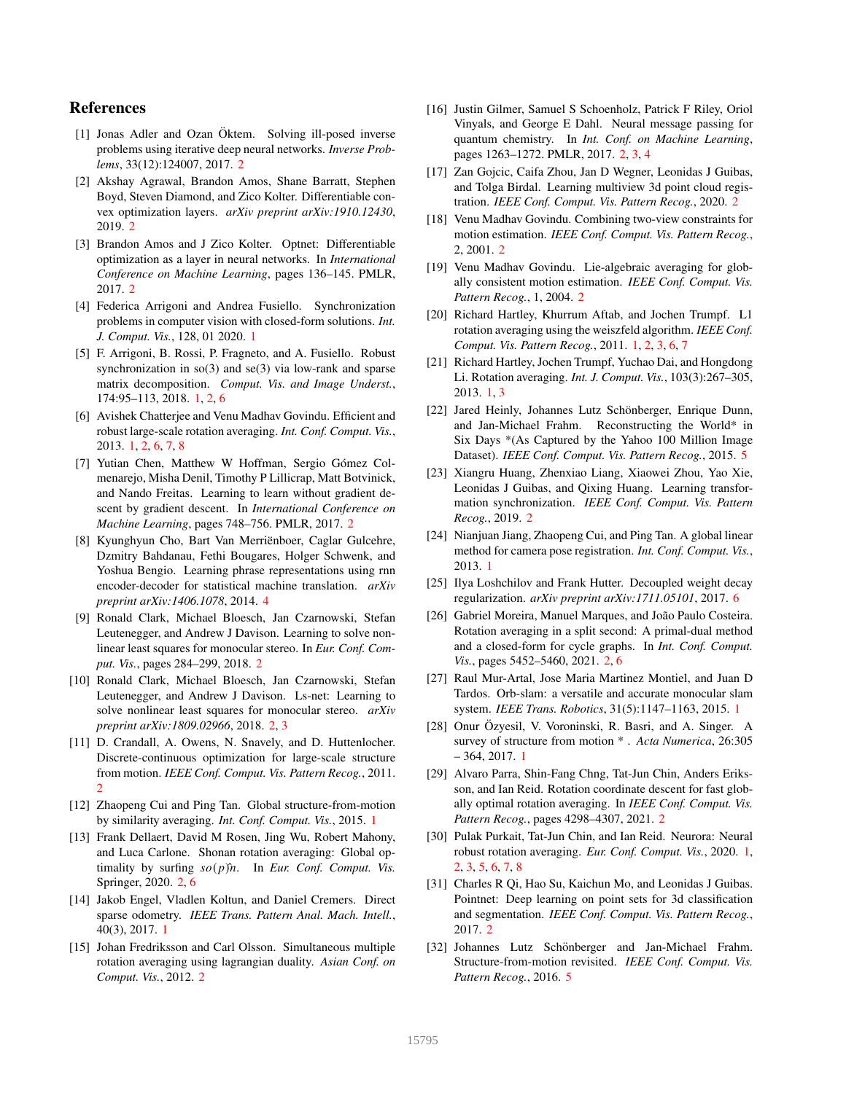# References

- [1] Jonas Adler and Ozan Öktem. Solving ill-posed inverse problems using iterative deep neural networks. *Inverse Problems*, 33(12):124007, 2017. 2
- [2] Akshay Agrawal, Brandon Amos, Shane Barratt, Stephen Boyd, Steven Diamond, and Zico Kolter. Differentiable convex optimization layers. *arXiv preprint arXiv:1910.12430*, 2019. 2
- [3] Brandon Amos and J Zico Kolter. Optnet: Differentiable optimization as a layer in neural networks. In *International Conference on Machine Learning*, pages 136–145. PMLR, 2017. 2
- [4] Federica Arrigoni and Andrea Fusiello. Synchronization problems in computer vision with closed-form solutions. *Int. J. Comput. Vis.*, 128, 01 2020. 1
- [5] F. Arrigoni, B. Rossi, P. Fragneto, and A. Fusiello. Robust synchronization in  $\text{so}(3)$  and  $\text{se}(3)$  via low-rank and sparse matrix decomposition. *Comput. Vis. and Image Underst.*, 174:95–113, 2018. 1, 2, 6
- [6] Avishek Chatterjee and Venu Madhav Govindu. Efficient and robust large-scale rotation averaging. *Int. Conf. Comput. Vis.*, 2013. 1, 2, 6, 7, 8
- [7] Yutian Chen, Matthew W Hoffman, Sergio Gómez Colmenarejo, Misha Denil, Timothy P Lillicrap, Matt Botvinick, and Nando Freitas. Learning to learn without gradient descent by gradient descent. In *International Conference on Machine Learning*, pages 748–756. PMLR, 2017. 2
- [8] Kyunghyun Cho, Bart Van Merriënboer, Caglar Gulcehre, Dzmitry Bahdanau, Fethi Bougares, Holger Schwenk, and Yoshua Bengio. Learning phrase representations using rnn encoder-decoder for statistical machine translation. *arXiv preprint arXiv:1406.1078*, 2014. 4
- [9] Ronald Clark, Michael Bloesch, Jan Czarnowski, Stefan Leutenegger, and Andrew J Davison. Learning to solve nonlinear least squares for monocular stereo. In *Eur. Conf. Comput. Vis.*, pages 284–299, 2018. 2
- [10] Ronald Clark, Michael Bloesch, Jan Czarnowski, Stefan Leutenegger, and Andrew J Davison. Ls-net: Learning to solve nonlinear least squares for monocular stereo. *arXiv preprint arXiv:1809.02966*, 2018. 2, 3
- [11] D. Crandall, A. Owens, N. Snavely, and D. Huttenlocher. Discrete-continuous optimization for large-scale structure from motion. *IEEE Conf. Comput. Vis. Pattern Recog.*, 2011. 2
- [12] Zhaopeng Cui and Ping Tan. Global structure-from-motion by similarity averaging. *Int. Conf. Comput. Vis.*, 2015. 1
- [13] Frank Dellaert, David M Rosen, Jing Wu, Robert Mahony, and Luca Carlone. Shonan rotation averaging: Global optimality by surfing  $so(p)$ <sup>n</sup>. In *Eur. Conf. Comput. Vis.* Springer, 2020. 2, 6
- [14] Jakob Engel, Vladlen Koltun, and Daniel Cremers. Direct sparse odometry. *IEEE Trans. Pattern Anal. Mach. Intell.*, 40(3), 2017. 1
- [15] Johan Fredriksson and Carl Olsson. Simultaneous multiple rotation averaging using lagrangian duality. *Asian Conf. on Comput. Vis.*, 2012. 2
- [16] Justin Gilmer, Samuel S Schoenholz, Patrick F Riley, Oriol Vinyals, and George E Dahl. Neural message passing for quantum chemistry. In *Int. Conf. on Machine Learning*, pages 1263–1272. PMLR, 2017. 2, 3, 4
- [17] Zan Gojcic, Caifa Zhou, Jan D Wegner, Leonidas J Guibas, and Tolga Birdal. Learning multiview 3d point cloud registration. *IEEE Conf. Comput. Vis. Pattern Recog.*, 2020. 2
- [18] Venu Madhav Govindu. Combining two-view constraints for motion estimation. *IEEE Conf. Comput. Vis. Pattern Recog.*, 2, 2001. 2
- [19] Venu Madhav Govindu. Lie-algebraic averaging for globally consistent motion estimation. *IEEE Conf. Comput. Vis. Pattern Recog.*, 1, 2004. 2
- [20] Richard Hartley, Khurrum Aftab, and Jochen Trumpf. L1 rotation averaging using the weiszfeld algorithm. *IEEE Conf. Comput. Vis. Pattern Recog.*, 2011. 1, 2, 3, 6, 7
- [21] Richard Hartley, Jochen Trumpf, Yuchao Dai, and Hongdong Li. Rotation averaging. *Int. J. Comput. Vis.*, 103(3):267–305, 2013. 1, 3
- [22] Jared Heinly, Johannes Lutz Schönberger, Enrique Dunn, and Jan-Michael Frahm. Reconstructing the World\* in Six Days \*(As Captured by the Yahoo 100 Million Image Dataset). *IEEE Conf. Comput. Vis. Pattern Recog.*, 2015. 5
- [23] Xiangru Huang, Zhenxiao Liang, Xiaowei Zhou, Yao Xie, Leonidas J Guibas, and Qixing Huang. Learning transformation synchronization. *IEEE Conf. Comput. Vis. Pattern Recog.*, 2019. 2
- [24] Nianjuan Jiang, Zhaopeng Cui, and Ping Tan. A global linear method for camera pose registration. *Int. Conf. Comput. Vis.*, 2013. 1
- [25] Ilya Loshchilov and Frank Hutter. Decoupled weight decay regularization. *arXiv preprint arXiv:1711.05101*, 2017. 6
- [26] Gabriel Moreira, Manuel Marques, and João Paulo Costeira. Rotation averaging in a split second: A primal-dual method and a closed-form for cycle graphs. In *Int. Conf. Comput. Vis.*, pages 5452–5460, 2021. 2, 6
- [27] Raul Mur-Artal, Jose Maria Martinez Montiel, and Juan D Tardos. Orb-slam: a versatile and accurate monocular slam system. *IEEE Trans. Robotics*, 31(5):1147–1163, 2015. 1
- [28] Onur Özyesil, V. Voroninski, R. Basri, and A. Singer. A survey of structure from motion \* . *Acta Numerica*, 26:305  $-364, 2017.$  1
- [29] Alvaro Parra, Shin-Fang Chng, Tat-Jun Chin, Anders Eriksson, and Ian Reid. Rotation coordinate descent for fast globally optimal rotation averaging. In *IEEE Conf. Comput. Vis. Pattern Recog.*, pages 4298–4307, 2021. 2
- [30] Pulak Purkait, Tat-Jun Chin, and Ian Reid. Neurora: Neural robust rotation averaging. *Eur. Conf. Comput. Vis.*, 2020. 1, 2, 3, 5, 6, 7, 8
- [31] Charles R Qi, Hao Su, Kaichun Mo, and Leonidas J Guibas. Pointnet: Deep learning on point sets for 3d classification and segmentation. *IEEE Conf. Comput. Vis. Pattern Recog.*, 2017. 2
- [32] Johannes Lutz Schönberger and Jan-Michael Frahm. Structure-from-motion revisited. *IEEE Conf. Comput. Vis. Pattern Recog.*, 2016. 5